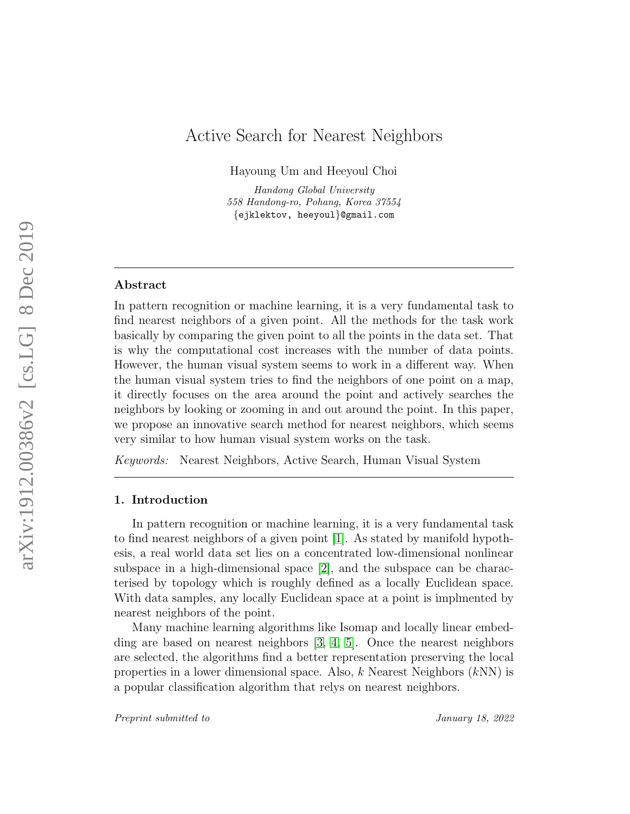# Active Search for Nearest Neighbors

Hayoung Um and Heeyoul Choi

Handong Global University 558 Handong-ro, Pohang, Korea 37554 {ejklektov, heeyoul}@gmail.com

## Abstract

In pattern recognition or machine learning, it is a very fundamental task to find nearest neighbors of a given point. All the methods for the task work basically by comparing the given point to all the points in the data set. That is why the computational cost increases with the number of data points. However, the human visual system seems to work in a different way. When the human visual system tries to find the neighbors of one point on a map, it directly focuses on the area around the point and actively searches the neighbors by looking or zooming in and out around the point. In this paper, we propose an innovative search method for nearest neighbors, which seems very similar to how human visual system works on the task.

Keywords: Nearest Neighbors, Active Search, Human Visual System

### 1. Introduction

In pattern recognition or machine learning, it is a very fundamental task to find nearest neighbors of a given point [\[1\]](#page-5-0). As stated by manifold hypothesis, a real world data set lies on a concentrated low-dimensional nonlinear subspace in a high-dimensional space [\[2\]](#page-5-1), and the subspace can be characterised by topology which is roughly defined as a locally Euclidean space. With data samples, any locally Euclidean space at a point is implmented by nearest neighbors of the point.

Many machine learning algorithms like Isomap and locally linear embedding are based on nearest neighbors [\[3,](#page-5-2) [4,](#page-5-3) [5\]](#page-5-4). Once the nearest neighbors are selected, the algorithms find a better representation preserving the local properties in a lower dimensional space. Also,  $k$  Nearest Neighbors  $(kNN)$  is a popular classification algorithm that relys on nearest neighbors.

Preprint submitted to  $\qquad \qquad$  January 18, 2022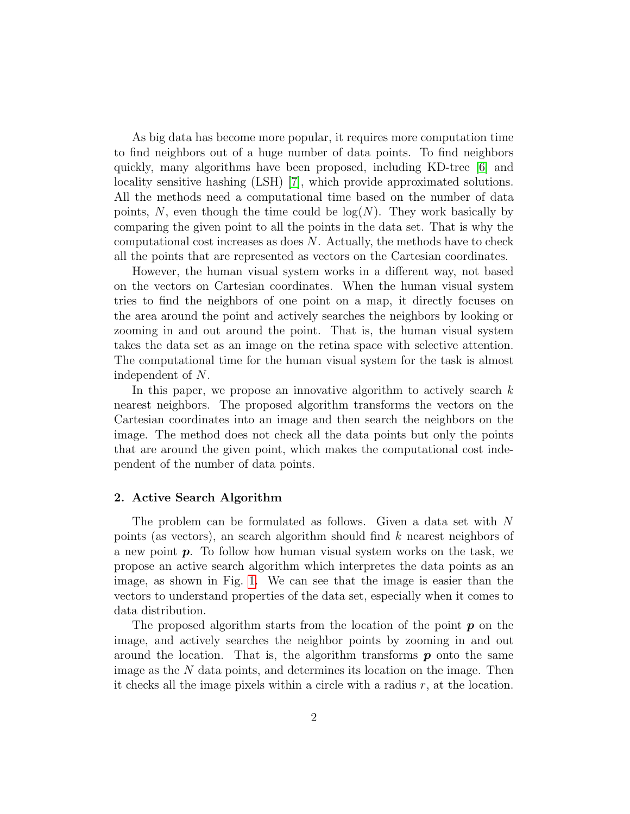As big data has become more popular, it requires more computation time to find neighbors out of a huge number of data points. To find neighbors quickly, many algorithms have been proposed, including KD-tree [\[6\]](#page-5-5) and locality sensitive hashing (LSH) [\[7\]](#page-5-6), which provide approximated solutions. All the methods need a computational time based on the number of data points, N, even though the time could be  $log(N)$ . They work basically by comparing the given point to all the points in the data set. That is why the computational cost increases as does  $N$ . Actually, the methods have to check all the points that are represented as vectors on the Cartesian coordinates.

However, the human visual system works in a different way, not based on the vectors on Cartesian coordinates. When the human visual system tries to find the neighbors of one point on a map, it directly focuses on the area around the point and actively searches the neighbors by looking or zooming in and out around the point. That is, the human visual system takes the data set as an image on the retina space with selective attention. The computational time for the human visual system for the task is almost independent of N.

In this paper, we propose an innovative algorithm to actively search  $k$ nearest neighbors. The proposed algorithm transforms the vectors on the Cartesian coordinates into an image and then search the neighbors on the image. The method does not check all the data points but only the points that are around the given point, which makes the computational cost independent of the number of data points.

### 2. Active Search Algorithm

The problem can be formulated as follows. Given a data set with N points (as vectors), an search algorithm should find k nearest neighbors of a new point  $p$ . To follow how human visual system works on the task, we propose an active search algorithm which interpretes the data points as an image, as shown in Fig. [1.](#page-2-0) We can see that the image is easier than the vectors to understand properties of the data set, especially when it comes to data distribution.

The proposed algorithm starts from the location of the point  $p$  on the image, and actively searches the neighbor points by zooming in and out around the location. That is, the algorithm transforms  $p$  onto the same image as the N data points, and determines its location on the image. Then it checks all the image pixels within a circle with a radius  $r$ , at the location.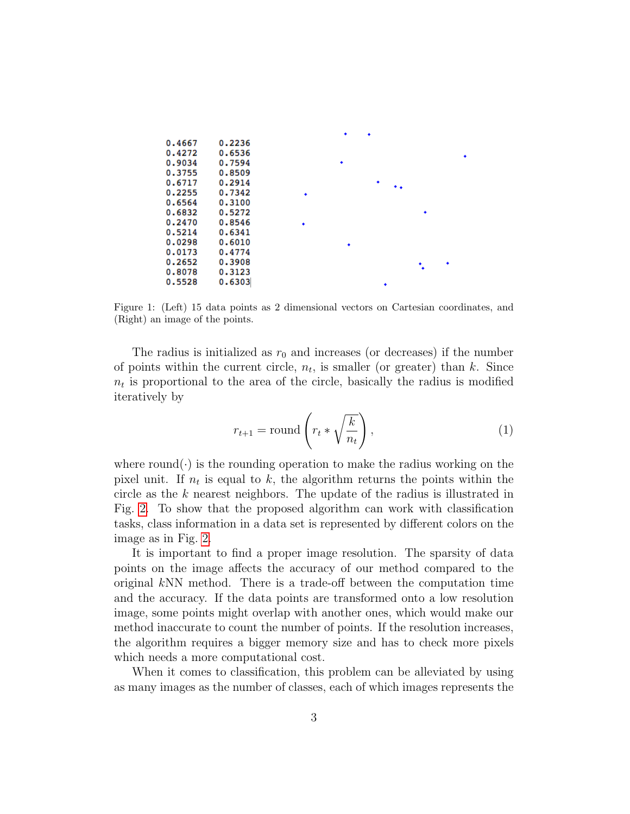|        |        |   | ٠ | ٠ |  |  |
|--------|--------|---|---|---|--|--|
| 0.4667 | 0.2236 |   |   |   |  |  |
| 0.4272 | 0.6536 |   |   |   |  |  |
| 0.9034 | 0.7594 |   | ٠ |   |  |  |
| 0.3755 | 0.8509 |   |   |   |  |  |
| 0.6717 | 0.2914 |   |   | ٠ |  |  |
| 0.2255 | 0.7342 |   |   |   |  |  |
| 0.6564 | 0.3100 |   |   |   |  |  |
| 0.6832 | 0.5272 |   |   |   |  |  |
| 0.2470 | 0.8546 | ٠ |   |   |  |  |
| 0.5214 | 0.6341 |   |   |   |  |  |
| 0.0298 | 0.6010 |   | ٠ |   |  |  |
| 0.0173 | 0.4774 |   |   |   |  |  |
| 0.2652 | 0.3908 |   |   |   |  |  |
| 0.8078 | 0.3123 |   |   |   |  |  |
| 0.5528 | 0.6303 |   |   | ٠ |  |  |

<span id="page-2-0"></span>Figure 1: (Left) 15 data points as 2 dimensional vectors on Cartesian coordinates, and (Right) an image of the points.

The radius is initialized as  $r_0$  and increases (or decreases) if the number of points within the current circle,  $n_t$ , is smaller (or greater) than k. Since  $n_t$  is proportional to the area of the circle, basically the radius is modified iteratively by

$$
r_{t+1} = \text{round}\left(r_t * \sqrt{\frac{k}{n_t}}\right),\tag{1}
$$

where round( $\cdot$ ) is the rounding operation to make the radius working on the pixel unit. If  $n_t$  is equal to k, the algorithm returns the points within the circle as the k nearest neighbors. The update of the radius is illustrated in Fig. [2.](#page-3-0) To show that the proposed algorithm can work with classification tasks, class information in a data set is represented by different colors on the image as in Fig. [2.](#page-3-0)

It is important to find a proper image resolution. The sparsity of data points on the image affects the accuracy of our method compared to the original  $kNN$  method. There is a trade-off between the computation time and the accuracy. If the data points are transformed onto a low resolution image, some points might overlap with another ones, which would make our method inaccurate to count the number of points. If the resolution increases, the algorithm requires a bigger memory size and has to check more pixels which needs a more computational cost.

When it comes to classification, this problem can be alleviated by using as many images as the number of classes, each of which images represents the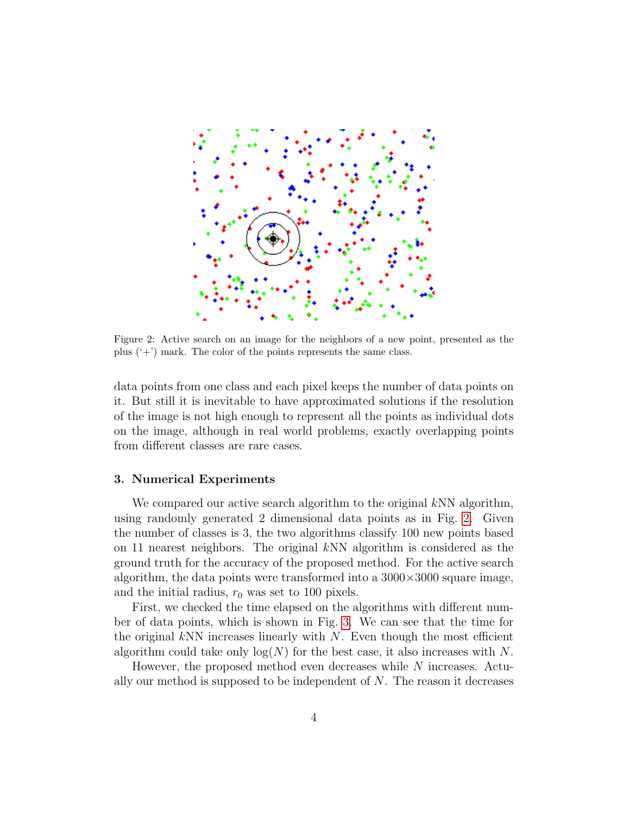

Figure 2: Active search on an image for the neighbors of a new point, presented as the plus  $(2+1)$  mark. The color of the points represents the same class.

<span id="page-3-0"></span>data points from one class and each pixel keeps the number of data points on it. But still it is inevitable to have approximated solutions if the resolution of the image is not high enough to represent all the points as individual dots on the image, although in real world problems, exactly overlapping points from different classes are rare cases.

#### 3. Numerical Experiments

We compared our active search algorithm to the original kNN algorithm, using randomly generated 2 dimensional data points as in Fig. [2.](#page-3-0) Given the number of classes is 3, the two algorithms classify 100 new points based on 11 nearest neighbors. The original kNN algorithm is considered as the ground truth for the accuracy of the proposed method. For the active search algorithm, the data points were transformed into a  $3000\times3000$  square image, and the initial radius,  $r_0$  was set to 100 pixels.

First, we checked the time elapsed on the algorithms with different number of data points, which is shown in Fig. [3.](#page-4-0) We can see that the time for the original kNN increases linearly with  $N$ . Even though the most efficient algorithm could take only  $log(N)$  for the best case, it also increases with N.

However, the proposed method even decreases while N increases. Actually our method is supposed to be independent of  $N$ . The reason it decreases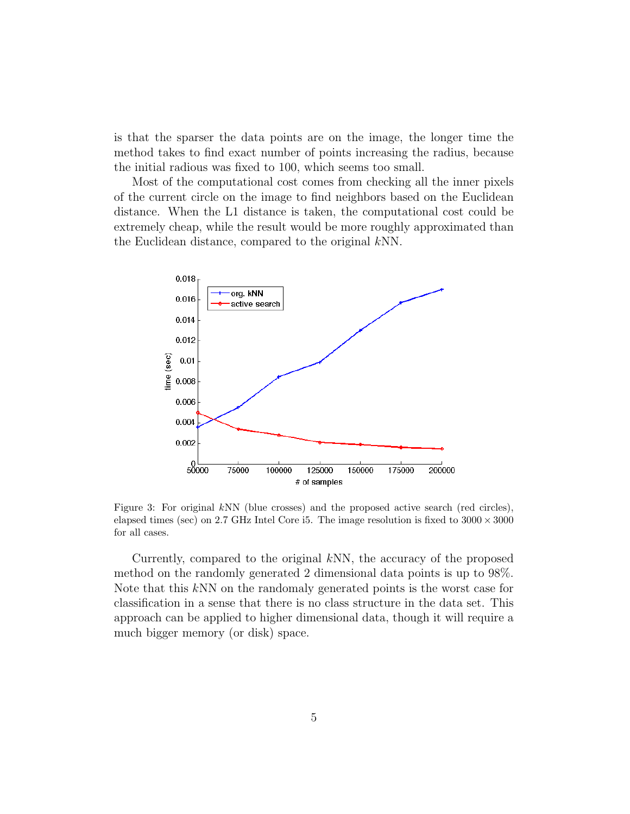is that the sparser the data points are on the image, the longer time the method takes to find exact number of points increasing the radius, because the initial radious was fixed to 100, which seems too small.

Most of the computational cost comes from checking all the inner pixels of the current circle on the image to find neighbors based on the Euclidean distance. When the L1 distance is taken, the computational cost could be extremely cheap, while the result would be more roughly approximated than the Euclidean distance, compared to the original kNN.



<span id="page-4-0"></span>Figure 3: For original  $kNN$  (blue crosses) and the proposed active search (red circles), elapsed times (sec) on 2.7 GHz Intel Core i5. The image resolution is fixed to  $3000 \times 3000$ for all cases.

Currently, compared to the original kNN, the accuracy of the proposed method on the randomly generated 2 dimensional data points is up to 98%. Note that this kNN on the randomaly generated points is the worst case for classification in a sense that there is no class structure in the data set. This approach can be applied to higher dimensional data, though it will require a much bigger memory (or disk) space.